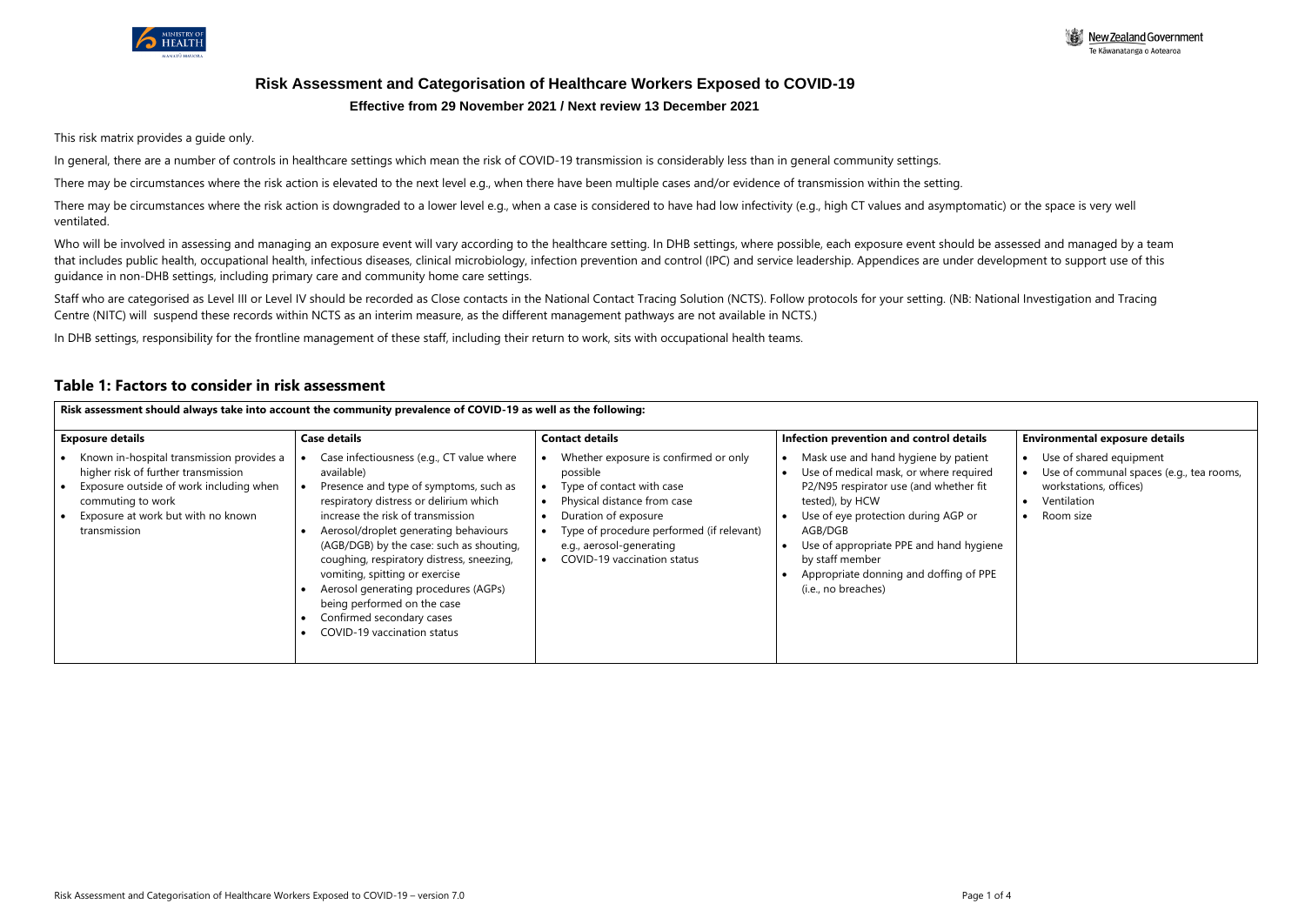

# **Risk Assessment and Categorisation of Healthcare Workers Exposed to COVID-19 Effective from 29 November 2021 / Next review 13 December 2021**

This risk matrix provides a guide only.

In general, there are a number of controls in healthcare settings which mean the risk of COVID-19 transmission is considerably less than in general community settings.

There may be circumstances where the risk action is downgraded to a lower level e.g., when a case is considered to have had low infectivity (e.g., high CT values and asymptomatic) or the space is very well ventilated.

There may be circumstances where the risk action is elevated to the next level e.g., when there have been multiple cases and/or evidence of transmission within the setting.

Who will be involved in assessing and managing an exposure event will vary according to the healthcare setting. In DHB settings, where possible, each exposure event should be assessed and managed by a team that includes public health, occupational health, infectious diseases, clinical microbiology, infection prevention and control (IPC) and service leadership. Appendices are under development to support use of this guidance in non-DHB settings, including primary care and community home care settings.

Staff who are categorised as Level III or Level IV should be recorded as Close contacts in the National Contact Tracing Solution (NCTS). Follow protocols for your setting. (NB: National Investigation and Tracing Centre (NITC) will suspend these records within NCTS as an interim measure, as the different management pathways are not available in NCTS.)

In DHB settings, responsibility for the frontline management of these staff, including their return to work, sits with occupational health teams.

## **Table 1: Factors to consider in risk assessment**

| Risk assessment should always take into account the community prevalence of COVID-19 as well as the following:                                                                                         |                                                                                                                                                                                                                                                                                                                                                                                                                                                                                         |                                                                                                                                                                                                                                                            |                                                                                                                                                                                                                                                                                                                              |                                                                                                                           |  |  |  |
|--------------------------------------------------------------------------------------------------------------------------------------------------------------------------------------------------------|-----------------------------------------------------------------------------------------------------------------------------------------------------------------------------------------------------------------------------------------------------------------------------------------------------------------------------------------------------------------------------------------------------------------------------------------------------------------------------------------|------------------------------------------------------------------------------------------------------------------------------------------------------------------------------------------------------------------------------------------------------------|------------------------------------------------------------------------------------------------------------------------------------------------------------------------------------------------------------------------------------------------------------------------------------------------------------------------------|---------------------------------------------------------------------------------------------------------------------------|--|--|--|
| <b>Case details</b><br><b>Exposure details</b>                                                                                                                                                         |                                                                                                                                                                                                                                                                                                                                                                                                                                                                                         | <b>Contact details</b>                                                                                                                                                                                                                                     | Infection prevention and control details                                                                                                                                                                                                                                                                                     | <b>Environmental exposure details</b>                                                                                     |  |  |  |
| Known in-hospital transmission provides a<br>higher risk of further transmission<br>Exposure outside of work including when<br>commuting to work<br>Exposure at work but with no known<br>transmission | Case infectiousness (e.g., CT value where<br>available)<br>Presence and type of symptoms, such as<br>respiratory distress or delirium which<br>increase the risk of transmission<br>Aerosol/droplet generating behaviours<br>(AGB/DGB) by the case: such as shouting,<br>coughing, respiratory distress, sneezing,<br>vomiting, spitting or exercise<br>Aerosol generating procedures (AGPs)<br>being performed on the case<br>Confirmed secondary cases<br>COVID-19 vaccination status | Whether exposure is confirmed or only<br>possible<br>Type of contact with case<br>$\bullet$<br>Physical distance from case<br>Duration of exposure<br>Type of procedure performed (if relevant)<br>e.g., aerosol-generating<br>COVID-19 vaccination status | Mask use and hand hygiene by patient<br>Use of medical mask, or where required<br>P2/N95 respirator use (and whether fit<br>tested), by HCW<br>Use of eye protection during AGP or<br>AGB/DGB<br>Use of appropriate PPE and hand hygiene<br>by staff member<br>Appropriate donning and doffing of PPE<br>(i.e., no breaches) | Use of shared equipment<br>Use of communal spaces (e.g., tea rooms,<br>workstations, offices)<br>Ventilation<br>Room size |  |  |  |

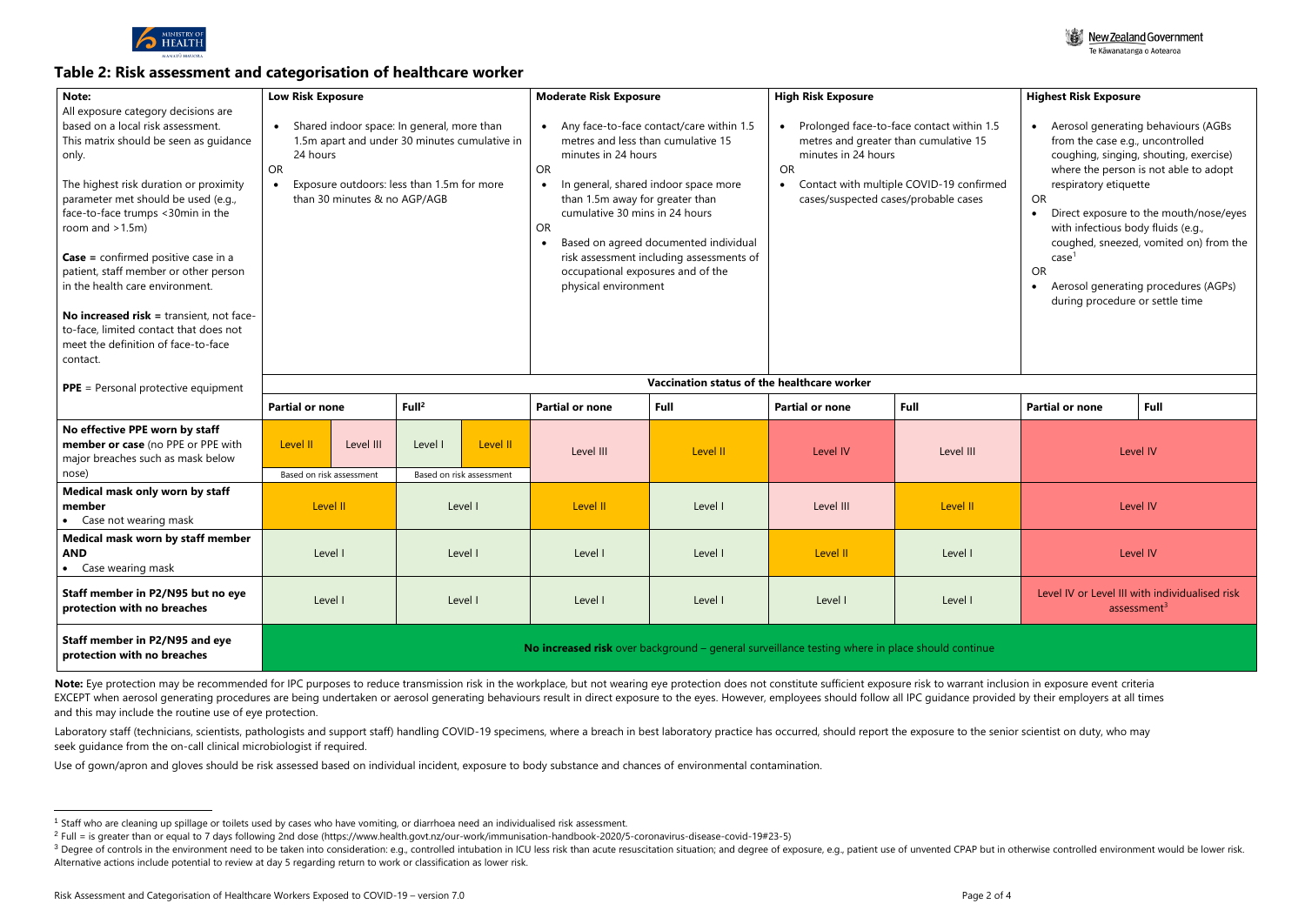

## **Table 2: Risk assessment and categorisation of healthcare worker**

| Note:                                      |                                                                                                 |                                                                                             |                                                                                                       |                                                   |                                 |                                                                                                 |                                                                        |                                               |                                        |                                        |
|--------------------------------------------|-------------------------------------------------------------------------------------------------|---------------------------------------------------------------------------------------------|-------------------------------------------------------------------------------------------------------|---------------------------------------------------|---------------------------------|-------------------------------------------------------------------------------------------------|------------------------------------------------------------------------|-----------------------------------------------|----------------------------------------|----------------------------------------|
| All exposure category decisions are        | <b>Low Risk Exposure</b>                                                                        |                                                                                             |                                                                                                       | <b>Moderate Risk Exposure</b>                     |                                 | <b>High Risk Exposure</b>                                                                       |                                                                        | <b>Highest Risk Exposure</b>                  |                                        |                                        |
| based on a local risk assessment.          |                                                                                                 |                                                                                             |                                                                                                       | Any face-to-face contact/care within 1.5          |                                 |                                                                                                 |                                                                        | Aerosol generating behaviours (AGBs           |                                        |                                        |
| This matrix should be seen as guidance     |                                                                                                 | Shared indoor space: In general, more than<br>1.5m apart and under 30 minutes cumulative in |                                                                                                       | metres and less than cumulative 15                |                                 | Prolonged face-to-face contact within 1.5<br>$\bullet$<br>metres and greater than cumulative 15 |                                                                        | $\bullet$<br>from the case e.g., uncontrolled |                                        |                                        |
| only.                                      | 24 hours                                                                                        |                                                                                             |                                                                                                       |                                                   | minutes in 24 hours             |                                                                                                 | minutes in 24 hours                                                    |                                               | coughing, singing, shouting, exercise) |                                        |
|                                            | <b>OR</b>                                                                                       |                                                                                             |                                                                                                       |                                                   | <b>OR</b>                       |                                                                                                 | <b>OR</b>                                                              |                                               |                                        | where the person is not able to adopt  |
| The highest risk duration or proximity     |                                                                                                 | Exposure outdoors: less than 1.5m for more                                                  |                                                                                                       | In general, shared indoor space more<br>$\bullet$ |                                 | Contact with multiple COVID-19 confirmed<br>$\bullet$                                           |                                                                        | respiratory etiquette                         |                                        |                                        |
| parameter met should be used (e.g.,        |                                                                                                 | than 30 minutes & no AGP/AGB                                                                |                                                                                                       |                                                   | than 1.5m away for greater than |                                                                                                 | cases/suspected cases/probable cases                                   |                                               | OR                                     |                                        |
| face-to-face trumps <30min in the          |                                                                                                 |                                                                                             |                                                                                                       |                                                   | cumulative 30 mins in 24 hours  |                                                                                                 |                                                                        |                                               | Direct exposure to the mouth/nose/eyes |                                        |
| room and $>1.5m$ )                         |                                                                                                 |                                                                                             |                                                                                                       |                                                   | OR                              |                                                                                                 |                                                                        |                                               | with infectious body fluids (e.g.,     |                                        |
|                                            |                                                                                                 |                                                                                             |                                                                                                       |                                                   |                                 | Based on agreed documented individual                                                           |                                                                        |                                               |                                        | coughed, sneezed, vomited on) from the |
| <b>Case</b> = confirmed positive case in a |                                                                                                 |                                                                                             | risk assessment including assessments of<br>occupational exposures and of the<br>physical environment |                                                   |                                 |                                                                                                 | case <sup>1</sup><br><b>OR</b><br>Aerosol generating procedures (AGPs) |                                               |                                        |                                        |
| patient, staff member or other person      |                                                                                                 |                                                                                             |                                                                                                       |                                                   |                                 |                                                                                                 |                                                                        |                                               |                                        |                                        |
| in the health care environment.            |                                                                                                 |                                                                                             |                                                                                                       |                                                   |                                 |                                                                                                 |                                                                        |                                               |                                        |                                        |
|                                            |                                                                                                 |                                                                                             |                                                                                                       |                                                   |                                 |                                                                                                 | during procedure or settle time                                        |                                               |                                        |                                        |
| No increased risk = transient, not face-   |                                                                                                 |                                                                                             |                                                                                                       |                                                   |                                 |                                                                                                 |                                                                        |                                               |                                        |                                        |
| to-face, limited contact that does not     |                                                                                                 |                                                                                             |                                                                                                       |                                                   |                                 |                                                                                                 |                                                                        |                                               |                                        |                                        |
| meet the definition of face-to-face        |                                                                                                 |                                                                                             |                                                                                                       |                                                   |                                 |                                                                                                 |                                                                        |                                               |                                        |                                        |
| contact.                                   |                                                                                                 |                                                                                             |                                                                                                       |                                                   |                                 |                                                                                                 |                                                                        |                                               |                                        |                                        |
|                                            | Vaccination status of the healthcare worker                                                     |                                                                                             |                                                                                                       |                                                   |                                 |                                                                                                 |                                                                        |                                               |                                        |                                        |
| <b>PPE</b> = Personal protective equipment |                                                                                                 |                                                                                             |                                                                                                       |                                                   |                                 |                                                                                                 |                                                                        |                                               |                                        |                                        |
|                                            | <b>Partial or none</b>                                                                          |                                                                                             | Full <sup>2</sup>                                                                                     |                                                   | <b>Partial or none</b>          | <b>Full</b>                                                                                     | <b>Partial or none</b>                                                 | Full                                          | <b>Partial or none</b>                 | <b>Full</b>                            |
| No effective PPE worn by staff             |                                                                                                 |                                                                                             |                                                                                                       |                                                   |                                 |                                                                                                 |                                                                        |                                               |                                        |                                        |
| member or case (no PPE or PPE with         | Level II                                                                                        | Level III                                                                                   | Level I                                                                                               | Level II                                          | Level III                       | Level II                                                                                        | Level IV                                                               | Level III                                     |                                        | Level IV                               |
| major breaches such as mask below          |                                                                                                 |                                                                                             |                                                                                                       |                                                   |                                 |                                                                                                 |                                                                        |                                               |                                        |                                        |
| nose)                                      | Based on risk assessment                                                                        |                                                                                             |                                                                                                       | Based on risk assessment                          |                                 |                                                                                                 |                                                                        |                                               |                                        |                                        |
| Medical mask only worn by staff            | Level II                                                                                        |                                                                                             | Level I                                                                                               |                                                   | Level II                        | Level I                                                                                         | Level III                                                              | Level II                                      | Level IV                               |                                        |
| member                                     |                                                                                                 |                                                                                             |                                                                                                       |                                                   |                                 |                                                                                                 |                                                                        |                                               |                                        |                                        |
| • Case not wearing mask                    |                                                                                                 |                                                                                             |                                                                                                       |                                                   |                                 |                                                                                                 |                                                                        |                                               |                                        |                                        |
| Medical mask worn by staff member          |                                                                                                 |                                                                                             |                                                                                                       |                                                   |                                 |                                                                                                 |                                                                        |                                               |                                        |                                        |
| <b>AND</b>                                 | Level I                                                                                         |                                                                                             |                                                                                                       | Level I                                           | Level I                         | Level I                                                                                         | Level II                                                               | Level I                                       |                                        | Level IV                               |
| • Case wearing mask                        |                                                                                                 |                                                                                             |                                                                                                       |                                                   |                                 |                                                                                                 |                                                                        |                                               |                                        |                                        |
| Staff member in P2/N95 but no eye          | Level I<br>Level I                                                                              |                                                                                             | Level I<br>Level I                                                                                    |                                                   |                                 | Level IV or Level III with individualised risk                                                  |                                                                        |                                               |                                        |                                        |
| protection with no breaches                |                                                                                                 |                                                                                             |                                                                                                       | Level I<br>Level I                                |                                 | assessment $3$                                                                                  |                                                                        |                                               |                                        |                                        |
|                                            |                                                                                                 |                                                                                             |                                                                                                       |                                                   |                                 |                                                                                                 |                                                                        |                                               |                                        |                                        |
| Staff member in P2/N95 and eye             |                                                                                                 |                                                                                             |                                                                                                       |                                                   |                                 |                                                                                                 |                                                                        |                                               |                                        |                                        |
| protection with no breaches                | No increased risk over background - general surveillance testing where in place should continue |                                                                                             |                                                                                                       |                                                   |                                 |                                                                                                 |                                                                        |                                               |                                        |                                        |
|                                            |                                                                                                 |                                                                                             |                                                                                                       |                                                   |                                 |                                                                                                 |                                                                        |                                               |                                        |                                        |

Note: Eye protection may be recommended for IPC purposes to reduce transmission risk in the workplace, but not wearing eye protection does not constitute sufficient exposure risk to warrant inclusion in exposure event crit EXCEPT when aerosol generating procedures are being undertaken or aerosol generating behaviours result in direct exposure to the eyes. However, employees should follow all IPC guidance provided by their employers at all ti and this may include the routine use of eye protection.

Laboratory staff (technicians, scientists, pathologists and support staff) handling COVID-19 specimens, where a breach in best laboratory practice has occurred, should report the exposure to the senior scientist on duty, w seek guidance from the on-call clinical microbiologist if required.



Use of gown/apron and gloves should be risk assessed based on individual incident, exposure to body substance and chances of environmental contamination.

<sup>&</sup>lt;sup>3</sup> Degree of controls in the environment need to be taken into consideration: e.g., controlled intubation in ICU less risk than acute resuscitation; and degree of exposure, e.g., patient use of unvented CPAP but in otherw Alternative actions include potential to review at day 5 regarding return to work or classification as lower risk.

<sup>&</sup>lt;sup>1</sup> Staff who are cleaning up spillage or toilets used by cases who have vomiting, or diarrhoea need an individualised risk assessment.

<sup>&</sup>lt;sup>2</sup> Full = is greater than or equal to 7 days following 2nd dose (https://www.health.govt.nz/our-work/immunisation-handbook-2020/5-coronavirus-disease-covid-19#23-5)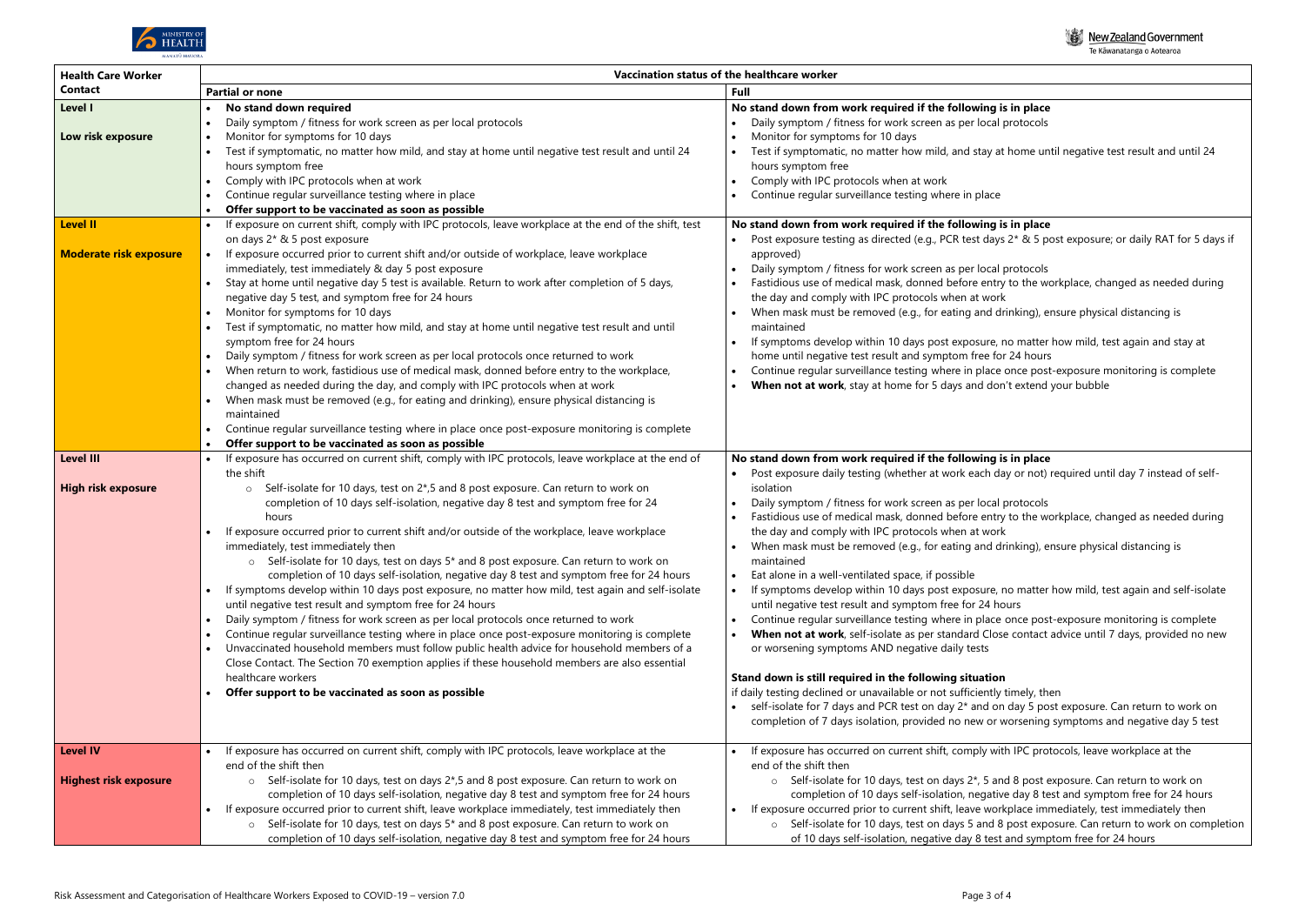

| <b>Health Care Worker</b>                        | Vaccination status of the healthcare worker                                                                                                                                                                                                                                                                                                                                                                                                                                                                                                                                                                                                                                                                                                                                                                                                                                                                                                                                                                                                                                                                                                                                                                                       |                                                                                                                                                                                                                                                                                                                                                                                                                                                                                                                                                                                                                                                                                                                                                                                                                                                                                                              |  |  |  |  |  |
|--------------------------------------------------|-----------------------------------------------------------------------------------------------------------------------------------------------------------------------------------------------------------------------------------------------------------------------------------------------------------------------------------------------------------------------------------------------------------------------------------------------------------------------------------------------------------------------------------------------------------------------------------------------------------------------------------------------------------------------------------------------------------------------------------------------------------------------------------------------------------------------------------------------------------------------------------------------------------------------------------------------------------------------------------------------------------------------------------------------------------------------------------------------------------------------------------------------------------------------------------------------------------------------------------|--------------------------------------------------------------------------------------------------------------------------------------------------------------------------------------------------------------------------------------------------------------------------------------------------------------------------------------------------------------------------------------------------------------------------------------------------------------------------------------------------------------------------------------------------------------------------------------------------------------------------------------------------------------------------------------------------------------------------------------------------------------------------------------------------------------------------------------------------------------------------------------------------------------|--|--|--|--|--|
| Contact                                          | <b>Partial or none</b>                                                                                                                                                                                                                                                                                                                                                                                                                                                                                                                                                                                                                                                                                                                                                                                                                                                                                                                                                                                                                                                                                                                                                                                                            | Full                                                                                                                                                                                                                                                                                                                                                                                                                                                                                                                                                                                                                                                                                                                                                                                                                                                                                                         |  |  |  |  |  |
| Level I                                          | No stand down required                                                                                                                                                                                                                                                                                                                                                                                                                                                                                                                                                                                                                                                                                                                                                                                                                                                                                                                                                                                                                                                                                                                                                                                                            | No stand down from work required if the following is                                                                                                                                                                                                                                                                                                                                                                                                                                                                                                                                                                                                                                                                                                                                                                                                                                                         |  |  |  |  |  |
| Low risk exposure                                | Daily symptom / fitness for work screen as per local protocols<br>Monitor for symptoms for 10 days<br>Test if symptomatic, no matter how mild, and stay at home until negative test result and until 24<br>hours symptom free<br>Comply with IPC protocols when at work<br>Continue regular surveillance testing where in place                                                                                                                                                                                                                                                                                                                                                                                                                                                                                                                                                                                                                                                                                                                                                                                                                                                                                                   | Daily symptom / fitness for work screen as per local p<br>Monitor for symptoms for 10 days<br>Test if symptomatic, no matter how mild, and stay at<br>hours symptom free<br>Comply with IPC protocols when at work<br>Continue regular surveillance testing where in place                                                                                                                                                                                                                                                                                                                                                                                                                                                                                                                                                                                                                                   |  |  |  |  |  |
|                                                  | Offer support to be vaccinated as soon as possible                                                                                                                                                                                                                                                                                                                                                                                                                                                                                                                                                                                                                                                                                                                                                                                                                                                                                                                                                                                                                                                                                                                                                                                |                                                                                                                                                                                                                                                                                                                                                                                                                                                                                                                                                                                                                                                                                                                                                                                                                                                                                                              |  |  |  |  |  |
| <b>Level II</b><br><b>Moderate risk exposure</b> | If exposure on current shift, comply with IPC protocols, leave workplace at the end of the shift, test<br>on days 2* & 5 post exposure<br>If exposure occurred prior to current shift and/or outside of workplace, leave workplace<br>immediately, test immediately & day 5 post exposure<br>Stay at home until negative day 5 test is available. Return to work after completion of 5 days,<br>negative day 5 test, and symptom free for 24 hours<br>Monitor for symptoms for 10 days<br>Test if symptomatic, no matter how mild, and stay at home until negative test result and until<br>symptom free for 24 hours<br>Daily symptom / fitness for work screen as per local protocols once returned to work<br>When return to work, fastidious use of medical mask, donned before entry to the workplace,<br>changed as needed during the day, and comply with IPC protocols when at work<br>When mask must be removed (e.g., for eating and drinking), ensure physical distancing is<br>maintained<br>Continue regular surveillance testing where in place once post-exposure monitoring is complete<br>Offer support to be vaccinated as soon as possible                                                                     | No stand down from work required if the following is<br>Post exposure testing as directed (e.g., PCR test days<br>approved)<br>Daily symptom / fitness for work screen as per local  <br>Fastidious use of medical mask, donned before entry<br>the day and comply with IPC protocols when at work<br>When mask must be removed (e.g., for eating and dr<br>maintained<br>If symptoms develop within 10 days post exposure, r<br>home until negative test result and symptom free for<br>Continue regular surveillance testing where in place<br>When not at work, stay at home for 5 days and don                                                                                                                                                                                                                                                                                                           |  |  |  |  |  |
| <b>Level III</b>                                 | $\bullet$<br>If exposure has occurred on current shift, comply with IPC protocols, leave workplace at the end of                                                                                                                                                                                                                                                                                                                                                                                                                                                                                                                                                                                                                                                                                                                                                                                                                                                                                                                                                                                                                                                                                                                  | No stand down from work required if the following is                                                                                                                                                                                                                                                                                                                                                                                                                                                                                                                                                                                                                                                                                                                                                                                                                                                         |  |  |  |  |  |
| <b>High risk exposure</b>                        | the shift<br>Self-isolate for 10 days, test on 2*,5 and 8 post exposure. Can return to work on<br>$\circ$<br>completion of 10 days self-isolation, negative day 8 test and symptom free for 24<br>hours<br>If exposure occurred prior to current shift and/or outside of the workplace, leave workplace<br>immediately, test immediately then<br>$\circ$ Self-isolate for 10 days, test on days 5 <sup>*</sup> and 8 post exposure. Can return to work on<br>completion of 10 days self-isolation, negative day 8 test and symptom free for 24 hours<br>If symptoms develop within 10 days post exposure, no matter how mild, test again and self-isolate<br>$\bullet$<br>until negative test result and symptom free for 24 hours<br>Daily symptom / fitness for work screen as per local protocols once returned to work<br>$\bullet$<br>Continue regular surveillance testing where in place once post-exposure monitoring is complete<br>$\bullet$<br>Unvaccinated household members must follow public health advice for household members of a<br>Close Contact. The Section 70 exemption applies if these household members are also essential<br>healthcare workers<br>Offer support to be vaccinated as soon as possible | Post exposure daily testing (whether at work each da<br>isolation<br>Daily symptom / fitness for work screen as per local µ<br>Fastidious use of medical mask, donned before entry<br>the day and comply with IPC protocols when at work<br>When mask must be removed (e.g., for eating and dr<br>maintained<br>Eat alone in a well-ventilated space, if possible<br>If symptoms develop within 10 days post exposure, r<br>$\bullet$<br>until negative test result and symptom free for 24 ho<br>Continue regular surveillance testing where in place<br>When not at work, self-isolate as per standard Close<br>or worsening symptoms AND negative daily tests<br>Stand down is still required in the following situation<br>if daily testing declined or unavailable or not sufficiently<br>self-isolate for 7 days and PCR test on day 2* and on<br>completion of 7 days isolation, provided no new or v |  |  |  |  |  |
| <b>Level IV</b>                                  | If exposure has occurred on current shift, comply with IPC protocols, leave workplace at the<br>end of the shift then                                                                                                                                                                                                                                                                                                                                                                                                                                                                                                                                                                                                                                                                                                                                                                                                                                                                                                                                                                                                                                                                                                             | If exposure has occurred on current shift, comply wit<br>end of the shift then                                                                                                                                                                                                                                                                                                                                                                                                                                                                                                                                                                                                                                                                                                                                                                                                                               |  |  |  |  |  |
| <b>Highest risk exposure</b>                     | Self-isolate for 10 days, test on days 2*,5 and 8 post exposure. Can return to work on<br>$\circ$<br>completion of 10 days self-isolation, negative day 8 test and symptom free for 24 hours<br>If exposure occurred prior to current shift, leave workplace immediately, test immediately then<br>$\bullet$<br>Self-isolate for 10 days, test on days 5* and 8 post exposure. Can return to work on<br>$\circ$<br>completion of 10 days self-isolation, negative day 8 test and symptom free for 24 hours                                                                                                                                                                                                                                                                                                                                                                                                                                                                                                                                                                                                                                                                                                                        | Self-isolate for 10 days, test on days 2*, 5 an<br>$\circ$<br>completion of 10 days self-isolation, negativ<br>If exposure occurred prior to current shift, leave work<br>Self-isolate for 10 days, test on days 5 and 8<br>of 10 days self-isolation, negative day 8 test                                                                                                                                                                                                                                                                                                                                                                                                                                                                                                                                                                                                                                   |  |  |  |  |  |



#### **Ing is in place**

ocal protocols

ay at home until negative test result and until 24

### **Ing is in place**

days 2\* & 5 post exposure; or daily RAT for 5 days if

ocal protocols

entry to the workplace, changed as needed during

nd drinking), ensure physical distancing is

ure, no matter how mild, test again and stay at e for 24 hours

lace once post-exposure monitoring is complete  $d$  don't extend your bubble

#### **ing is in place**

ch day or not) required until day 7 instead of self-

ocal protocols

entry to the workplace, changed as needed during

nd drinking), ensure physical distancing is

ure, no matter how mild, test again and self-isolate 24 hours

lace once post-exposure monitoring is complete Close contact advice until 7 days, provided no new

ently timely, then d on day 5 post exposure. Can return to work on or worsening symptoms and negative day 5 test

with IPC protocols, leave workplace at the

5 and 8 post exposure. Can return to work on gative day 8 test and symptom free for 24 hours workplace immediately, test immediately then nd 8 post exposure. Can return to work on completion test and symptom free for 24 hours